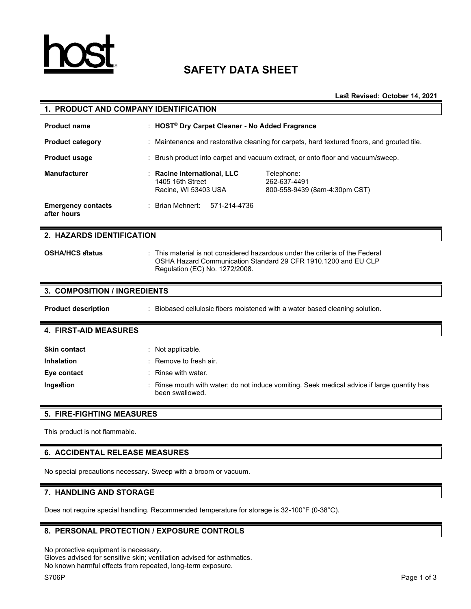

# **SAFETY DATA SHEET**

**Last Revised: October 14, 2021**

| 1. PRODUCT AND COMPANY IDENTIFICATION    |                                                                                                                                                                                 |  |  |
|------------------------------------------|---------------------------------------------------------------------------------------------------------------------------------------------------------------------------------|--|--|
| <b>Product name</b>                      | : HOST <sup>®</sup> Dry Carpet Cleaner - No Added Fragrance                                                                                                                     |  |  |
| <b>Product category</b>                  | Maintenance and restorative cleaning for carpets, hard textured floors, and grouted tile.                                                                                       |  |  |
| <b>Product usage</b>                     | Brush product into carpet and vacuum extract, or onto floor and vacuum/sweep.                                                                                                   |  |  |
| <b>Manufacturer</b>                      | Racine International, LLC<br>Telephone:<br>262-637-4491<br>1405 16th Street<br>Racine, WI 53403 USA<br>800-558-9439 (8am-4:30pm CST)                                            |  |  |
| <b>Emergency contacts</b><br>after hours | Brian Mehnert:<br>571-214-4736                                                                                                                                                  |  |  |
| 2. HAZARDS IDENTIFICATION                |                                                                                                                                                                                 |  |  |
| <b>OSHA/HCS status</b>                   | This material is not considered hazardous under the criteria of the Federal<br>OSHA Hazard Communication Standard 29 CFR 1910.1200 and EU CLP<br>Regulation (EC) No. 1272/2008. |  |  |
| 3. COMPOSITION / INGREDIENTS             |                                                                                                                                                                                 |  |  |
| <b>Product description</b>               | Biobased cellulosic fibers moistened with a water based cleaning solution.                                                                                                      |  |  |
| <b>4. FIRST-AID MEASURES</b>             |                                                                                                                                                                                 |  |  |
| <b>Skin contact</b>                      | Not applicable.                                                                                                                                                                 |  |  |
| <b>Inhalation</b>                        | Remove to fresh air.                                                                                                                                                            |  |  |
| Eye contact                              | Rinse with water.                                                                                                                                                               |  |  |
| Ingestion                                | Rinse mouth with water; do not induce vomiting. Seek medical advice if large quantity has<br>been swallowed.                                                                    |  |  |

## **5. FIRE-FIGHTING MEASURES**

This product is not flammable.

## **6. ACCIDENTAL RELEASE MEASURES**

No special precautions necessary. Sweep with a broom or vacuum.

## **7. HANDLING AND STORAGE**

Does not require special handling. Recommended temperature for storage is 32-100°F (0-38°C).

## **8. PERSONAL PROTECTION / EXPOSURE CONTROLS**

No protective equipment is necessary.

Gloves advised for sensitive skin; ventilation advised for asthmatics. No known harmful effects from repeated, long-term exposure.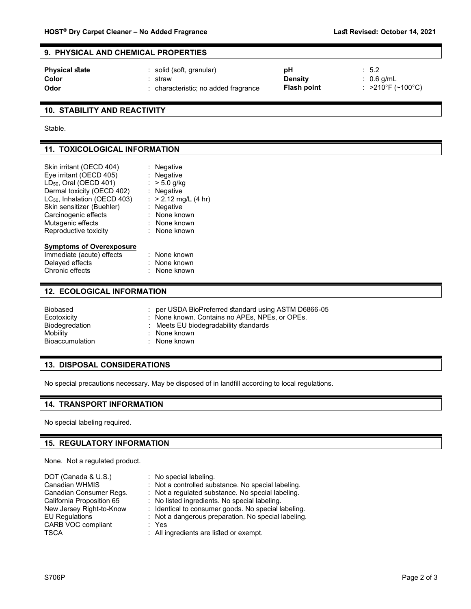## **9. PHYSICAL AND CHEMICAL PROPERTIES**

| <b>Physical state</b> | : solid (soft, granular)           | рH                 | $\therefore$ 5.2                       |
|-----------------------|------------------------------------|--------------------|----------------------------------------|
| Color                 | straw                              | <b>Density</b>     | $: 0.6$ a/mL                           |
| Odor                  | characteristic; no added fragrance | <b>Flash point</b> | $: >210^{\circ}$ F (~100 $^{\circ}$ C) |

## **10. STABILITY AND REACTIVITY**

Stable.

## **11. TOXICOLOGICAL INFORMATION**

| Skin irritant (OECD 404)<br>Eye irritant (OECD 405)<br>LD <sub>50</sub> , Oral (OECD 401) | : Negative<br>: Negative<br>: $> 5.0$ g/kg |
|-------------------------------------------------------------------------------------------|--------------------------------------------|
| Dermal toxicity (OECD 402)                                                                | : Negative                                 |
| LC <sub>50</sub> , Inhalation (OECD 403)                                                  | : $> 2.12$ mg/L (4 hr)                     |
| Skin sensitizer (Buehler)                                                                 | : Negative                                 |
| Carcinogenic effects                                                                      | : None known                               |
| Mutagenic effects                                                                         | : None known                               |
| Reproductive toxicity                                                                     | : None known                               |
| <b>Symptoms of Overexposure</b>                                                           |                                            |
| Immediate (acute) effects                                                                 | : None known                               |
| Delayed effects                                                                           | : None known                               |
|                                                                                           |                                            |

# Chronic effects : None known

## **12. ECOLOGICAL INFORMATION**

| Biobased        | per USDA BioPreferred standard using ASTM D6866-05 |
|-----------------|----------------------------------------------------|
| Ecotoxicity     | : None known. Contains no APEs. NPEs. or OPEs.     |
| Biodegredation  | : Meets EU biodegradability standards              |
| Mobility        | $:$ None known                                     |
| Bioaccumulation | : None known                                       |

## **13. DISPOSAL CONSIDERATIONS**

No special precautions necessary. May be disposed of in landfill according to local regulations.

## **14. TRANSPORT INFORMATION**

No special labeling required.

## **15. REGULATORY INFORMATION**

None. Not a regulated product.

| DOT (Canada & U.S.)       | : No special labeling.                              |
|---------------------------|-----------------------------------------------------|
| Canadian WHMIS            | : Not a controlled substance. No special labeling.  |
| Canadian Consumer Regs.   | : Not a regulated substance. No special labeling.   |
| California Proposition 65 | : No listed ingredients. No special labeling.       |
| New Jersey Right-to-Know  | : Identical to consumer goods. No special labeling. |
| <b>EU Regulations</b>     | : Not a dangerous preparation. No special labeling. |
| <b>CARB VOC compliant</b> | : Yes                                               |
| TSCA                      | : All ingredients are listed or exempt.             |
|                           |                                                     |